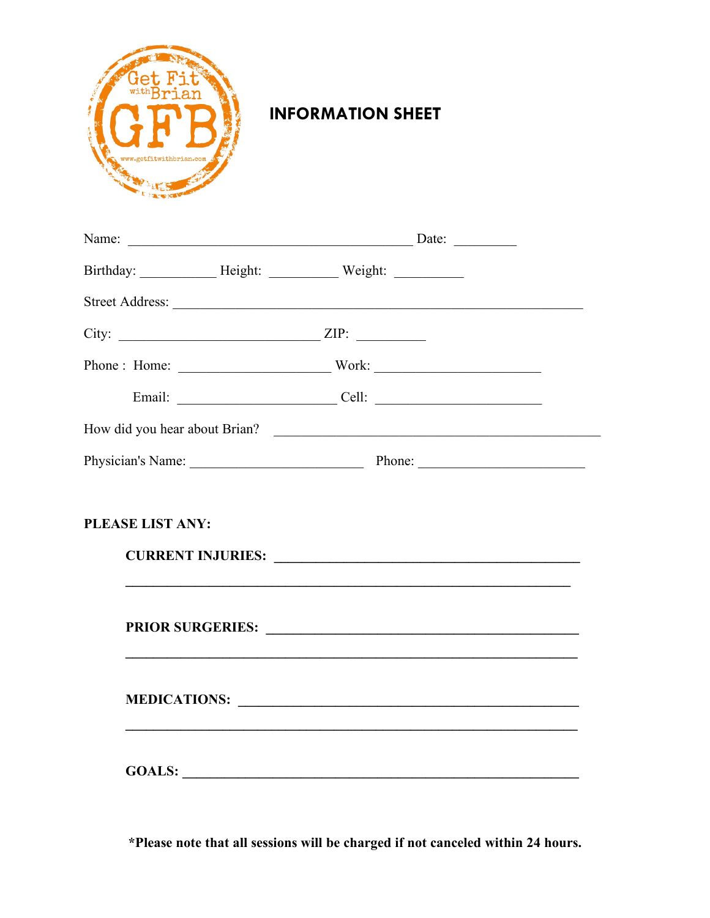

## **INFORMATION SHEET**

| City: $ZIP:$                  |                                              |  |
|-------------------------------|----------------------------------------------|--|
| Phone: Home: Work: Work:      |                                              |  |
|                               |                                              |  |
| How did you hear about Brian? |                                              |  |
|                               |                                              |  |
| <b>PLEASE LIST ANY:</b>       |                                              |  |
|                               | PRIOR SURGERIES: New York CONTROL SURGERIES: |  |
|                               |                                              |  |
|                               | GOALS:                                       |  |

\*Please note that all sessions will be charged if not canceled within 24 hours.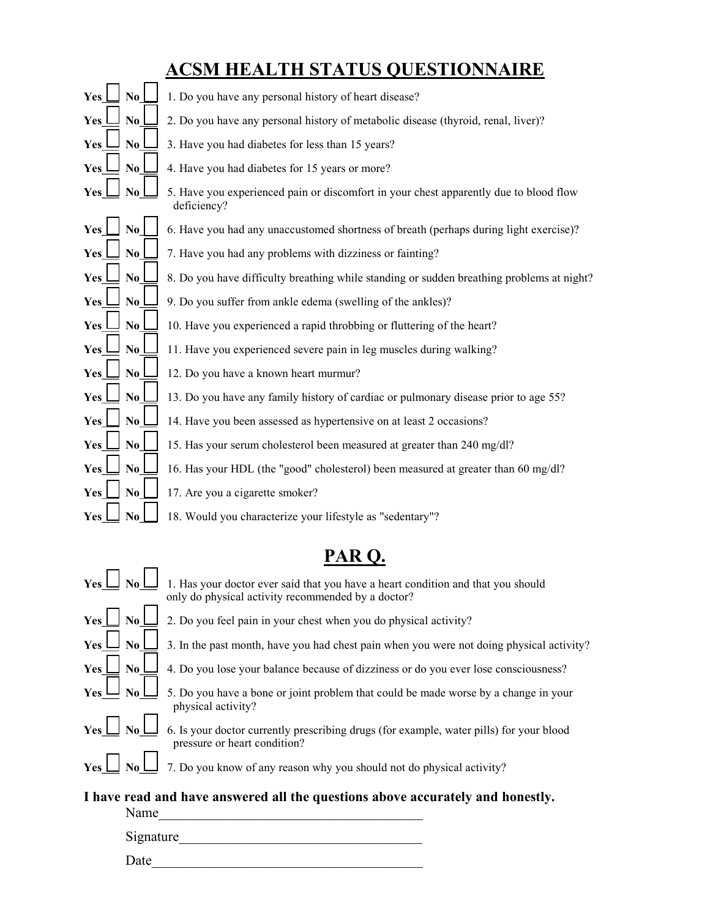## **ACSM HEALTH STATUS QUESTIONNAIRE**

| N <sub>0</sub><br>Yes                | 1. Do you have any personal history of heart disease?                                                |
|--------------------------------------|------------------------------------------------------------------------------------------------------|
| $\bf No$<br>Yes                      | 2. Do you have any personal history of metabolic disease (thyroid, renal, liver)?                    |
| No<br><b>Yes</b>                     | 3. Have you had diabetes for less than 15 years?                                                     |
| N <sub>0</sub><br>Yes                | 4. Have you had diabetes for 15 years or more?                                                       |
| $\mathbf{N}\mathbf{0}$<br><b>Yes</b> | 5. Have you experienced pain or discomfort in your chest apparently due to blood flow<br>deficiency? |
| N <sub>0</sub><br>Yes                | 6. Have you had any unaccustomed shortness of breath (perhaps during light exercise)?                |
| No.<br>Yes                           | 7. Have you had any problems with dizziness or fainting?                                             |
| No.<br>Yes                           | 8. Do you have difficulty breathing while standing or sudden breathing problems at night?            |
| $\bf No$<br><b>Yes</b>               | 9. Do you suffer from ankle edema (swelling of the ankles)?                                          |
| No<br><b>Yes</b>                     | 10. Have you experienced a rapid throbbing or fluttering of the heart?                               |
| Yes<br>No.                           | 11. Have you experienced severe pain in leg muscles during walking?                                  |
| N <sub>0</sub><br>Yes                | 12. Do you have a known heart murmur?                                                                |
| No<br>Yes                            | 13. Do you have any family history of cardiac or pulmonary disease prior to age 55?                  |
| N <sub>0</sub><br>Yes                | 14. Have you been assessed as hypertensive on at least 2 occasions?                                  |
| N <sub>0</sub><br>Yes                | 15. Has your serum cholesterol been measured at greater than 240 mg/dl?                              |
| No<br>Yes                            | 16. Has your HDL (the "good" cholesterol) been measured at greater than 60 mg/dl?                    |
| No<br>Yes                            | 17. Are you a cigarette smoker?                                                                      |
| N <sub>0</sub><br>Yes                | 18. Would you characterize your lifestyle as "sedentary"?                                            |

## **PAR Q.**

| Yes                                                                                    |                        | 1. Has your doctor ever said that you have a heart condition and that you should<br>only do physical activity recommended by a doctor? |  |  |
|----------------------------------------------------------------------------------------|------------------------|----------------------------------------------------------------------------------------------------------------------------------------|--|--|
| Yes                                                                                    | N <sub>0</sub>         | 2. Do you feel pain in your chest when you do physical activity?                                                                       |  |  |
| Yes                                                                                    | No                     | 3. In the past month, have you had chest pain when you were not doing physical activity?                                               |  |  |
| Yes                                                                                    | No.                    | 4. Do you lose your balance because of dizziness or do you ever lose consciousness?                                                    |  |  |
|                                                                                        | $\mathbf{N}\mathbf{0}$ | 5. Do you have a bone or joint problem that could be made worse by a change in your<br>physical activity?                              |  |  |
| Yes                                                                                    |                        | 6. Is your doctor currently prescribing drugs (for example, water pills) for your blood<br>pressure or heart condition?                |  |  |
| Yes                                                                                    |                        | 7. Do you know of any reason why you should not do physical activity?                                                                  |  |  |
| I have read and have answered all the questions above accurately and honestly.<br>Name |                        |                                                                                                                                        |  |  |

 Signature\_\_\_\_\_\_\_\_\_\_\_\_\_\_\_\_\_\_\_\_\_\_\_\_\_\_\_\_\_\_\_\_\_\_\_  $Date$   $\qquad \qquad$